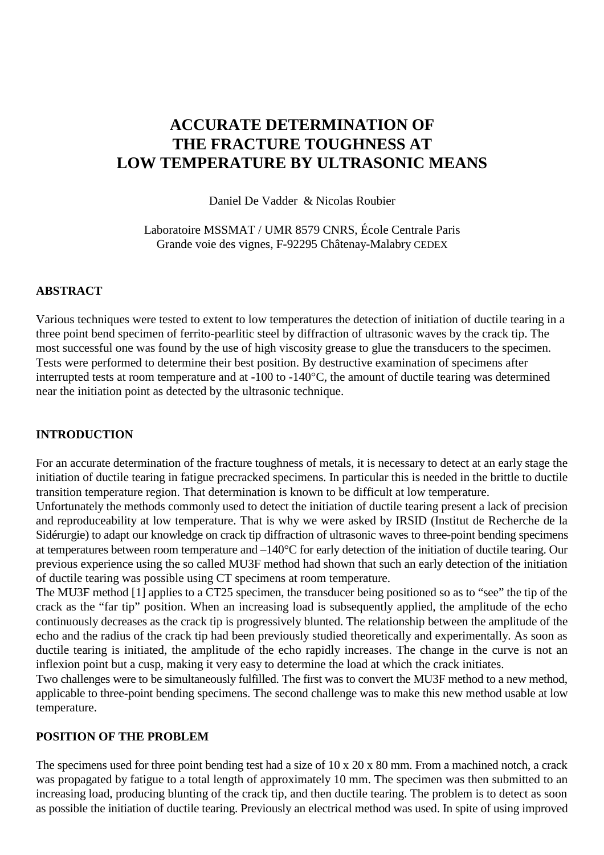# **ACCURATE DETERMINATION OF THE FRACTURE TOUGHNESS AT LOW TEMPERATURE BY ULTRASONIC MEANS**

Daniel De Vadder & Nicolas Roubier

Laboratoire MSSMAT / UMR 8579 CNRS, École Centrale Paris Grande voie des vignes, F-92295 Châtenay-Malabry CEDEX

#### **ABSTRACT**

Various techniques were tested to extent to low temperatures the detection of initiation of ductile tearing in a three point bend specimen of ferrito-pearlitic steel by diffraction of ultrasonic waves by the crack tip. The most successful one was found by the use of high viscosity grease to glue the transducers to the specimen. Tests were performed to determine their best position. By destructive examination of specimens after interrupted tests at room temperature and at -100 to -140°C, the amount of ductile tearing was determined near the initiation point as detected by the ultrasonic technique.

#### **INTRODUCTION**

For an accurate determination of the fracture toughness of metals, it is necessary to detect at an early stage the initiation of ductile tearing in fatigue precracked specimens. In particular this is needed in the brittle to ductile transition temperature region. That determination is known to be difficult at low temperature.

Unfortunately the methods commonly used to detect the initiation of ductile tearing present a lack of precision and reproduceability at low temperature. That is why we were asked by IRSID (Institut de Recherche de la Sidérurgie) to adapt our knowledge on crack tip diffraction of ultrasonic waves to three-point bending specimens at temperatures between room temperature and –140°C for early detection of the initiation of ductile tearing. Our previous experience using the so called MU3F method had shown that such an early detection of the initiation of ductile tearing was possible using CT specimens at room temperature.

The MU3F method [1] applies to a CT25 specimen, the transducer being positioned so as to "see" the tip of the crack as the "far tip" position. When an increasing load is subsequently applied, the amplitude of the echo continuously decreases as the crack tip is progressively blunted. The relationship between the amplitude of the echo and the radius of the crack tip had been previously studied theoretically and experimentally. As soon as ductile tearing is initiated, the amplitude of the echo rapidly increases. The change in the curve is not an inflexion point but a cusp, making it very easy to determine the load at which the crack initiates.

Two challenges were to be simultaneously fulfilled. The first was to convert the MU3F method to a new method, applicable to three-point bending specimens. The second challenge was to make this new method usable at low temperature.

#### **POSITION OF THE PROBLEM**

The specimens used for three point bending test had a size of 10 x 20 x 80 mm. From a machined notch, a crack was propagated by fatigue to a total length of approximately 10 mm. The specimen was then submitted to an increasing load, producing blunting of the crack tip, and then ductile tearing. The problem is to detect as soon as possible the initiation of ductile tearing. Previously an electrical method was used. In spite of using improved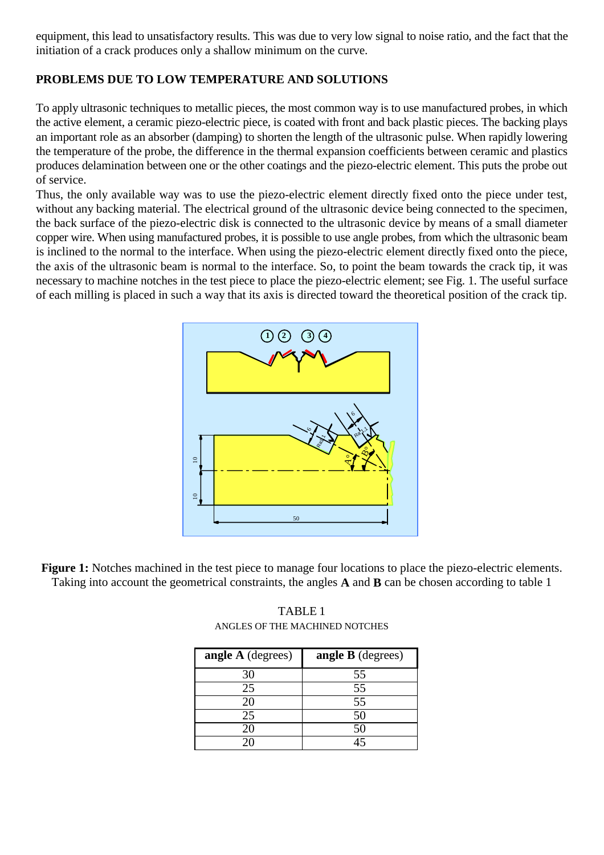equipment, this lead to unsatisfactory results. This was due to very low signal to noise ratio, and the fact that the initiation of a crack produces only a shallow minimum on the curve.

## **PROBLEMS DUE TO LOW TEMPERATURE AND SOLUTIONS**

To apply ultrasonic techniques to metallic pieces, the most common way is to use manufactured probes, in which the active element, a ceramic piezo-electric piece, is coated with front and back plastic pieces. The backing plays an important role as an absorber (damping) to shorten the length of the ultrasonic pulse. When rapidly lowering the temperature of the probe, the difference in the thermal expansion coefficients between ceramic and plastics produces delamination between one or the other coatings and the piezo-electric element. This puts the probe out of service.

Thus, the only available way was to use the piezo-electric element directly fixed onto the piece under test, without any backing material. The electrical ground of the ultrasonic device being connected to the specimen, the back surface of the piezo-electric disk is connected to the ultrasonic device by means of a small diameter copper wire. When using manufactured probes, it is possible to use angle probes, from which the ultrasonic beam is inclined to the normal to the interface. When using the piezo-electric element directly fixed onto the piece, the axis of the ultrasonic beam is normal to the interface. So, to point the beam towards the crack tip, it was necessary to machine notches in the test piece to place the piezo-electric element; see Fig. 1. The useful surface of each milling is placed in such a way that its axis is directed toward the theoretical position of the crack tip.



**Figure 1:** Notches machined in the test piece to manage four locations to place the piezo-electric elements. Taking into account the geometrical constraints, the angles **A** and **B** can be chosen according to table 1

| angle A (degrees) | <b>angle B</b> (degrees) |
|-------------------|--------------------------|
| 30                | 55                       |
| 25                | 55                       |
| 20                | 55                       |
| 25                | 50                       |
| 20                | 50                       |
| 20                |                          |

TABLE 1 ANGLES OF THE MACHINED NOTCHES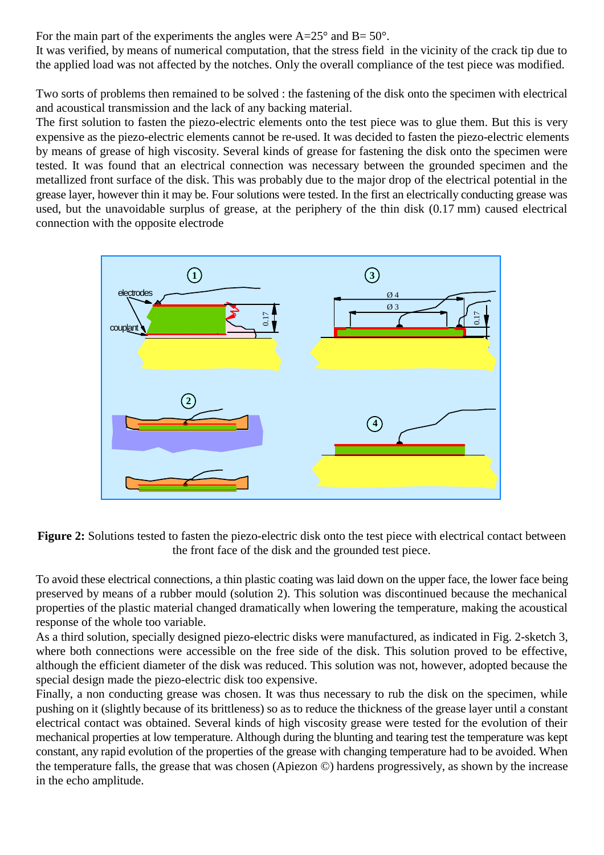For the main part of the experiments the angles were  $A=25^{\circ}$  and  $B=50^{\circ}$ .

It was verified, by means of numerical computation, that the stress field in the vicinity of the crack tip due to the applied load was not affected by the notches. Only the overall compliance of the test piece was modified.

Two sorts of problems then remained to be solved : the fastening of the disk onto the specimen with electrical and acoustical transmission and the lack of any backing material.

The first solution to fasten the piezo-electric elements onto the test piece was to glue them. But this is very expensive as the piezo-electric elements cannot be re-used. It was decided to fasten the piezo-electric elements by means of grease of high viscosity. Several kinds of grease for fastening the disk onto the specimen were tested. It was found that an electrical connection was necessary between the grounded specimen and the metallized front surface of the disk. This was probably due to the major drop of the electrical potential in the grease layer, however thin it may be. Four solutions were tested. In the first an electrically conducting grease was used, but the unavoidable surplus of grease, at the periphery of the thin disk (0.17 mm) caused electrical connection with the opposite electrode



**Figure 2:** Solutions tested to fasten the piezo-electric disk onto the test piece with electrical contact between the front face of the disk and the grounded test piece.

To avoid these electrical connections, a thin plastic coating was laid down on the upper face, the lower face being preserved by means of a rubber mould (solution 2). This solution was discontinued because the mechanical properties of the plastic material changed dramatically when lowering the temperature, making the acoustical response of the whole too variable.

As a third solution, specially designed piezo-electric disks were manufactured, as indicated in Fig. 2-sketch 3, where both connections were accessible on the free side of the disk. This solution proved to be effective, although the efficient diameter of the disk was reduced. This solution was not, however, adopted because the special design made the piezo-electric disk too expensive.

Finally, a non conducting grease was chosen. It was thus necessary to rub the disk on the specimen, while pushing on it (slightly because of its brittleness) so as to reduce the thickness of the grease layer until a constant electrical contact was obtained. Several kinds of high viscosity grease were tested for the evolution of their mechanical properties at low temperature. Although during the blunting and tearing test the temperature was kept constant, any rapid evolution of the properties of the grease with changing temperature had to be avoided. When the temperature falls, the grease that was chosen (Apiezon ©) hardens progressively, as shown by the increase in the echo amplitude.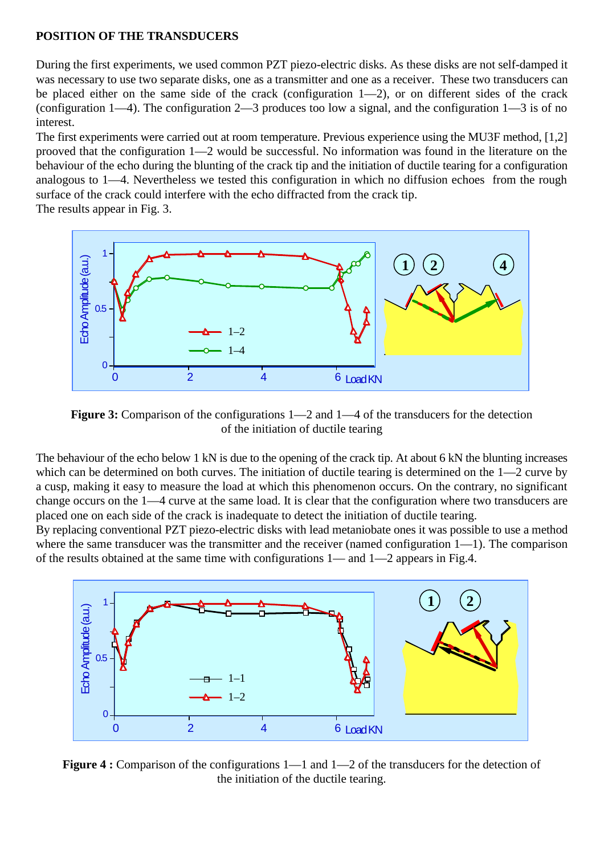#### **POSITION OF THE TRANSDUCERS**

During the first experiments, we used common PZT piezo-electric disks. As these disks are not self-damped it was necessary to use two separate disks, one as a transmitter and one as a receiver. These two transducers can be placed either on the same side of the crack (configuration 1—2), or on different sides of the crack (configuration 1—4). The configuration 2—3 produces too low a signal, and the configuration 1—3 is of no interest.

The first experiments were carried out at room temperature. Previous experience using the MU3F method, [1,2] prooved that the configuration 1—2 would be successful. No information was found in the literature on the behaviour of the echo during the blunting of the crack tip and the initiation of ductile tearing for a configuration analogous to 1—4. Nevertheless we tested this configuration in which no diffusion echoes from the rough surface of the crack could interfere with the echo diffracted from the crack tip.

The results appear in Fig. 3.



Figure 3: Comparison of the configurations  $1-2$  and  $1-4$  of the transducers for the detection of the initiation of ductile tearing

The behaviour of the echo below 1 kN is due to the opening of the crack tip. At about 6 kN the blunting increases which can be determined on both curves. The initiation of ductile tearing is determined on the 1—2 curve by a cusp, making it easy to measure the load at which this phenomenon occurs. On the contrary, no significant change occurs on the 1—4 curve at the same load. It is clear that the configuration where two transducers are placed one on each side of the crack is inadequate to detect the initiation of ductile tearing.

By replacing conventional PZT piezo-electric disks with lead metaniobate ones it was possible to use a method where the same transducer was the transmitter and the receiver (named configuration 1—1). The comparison of the results obtained at the same time with configurations 1— and 1—2 appears in Fig.4.



Figure 4 : Comparison of the configurations 1—1 and 1—2 of the transducers for the detection of the initiation of the ductile tearing.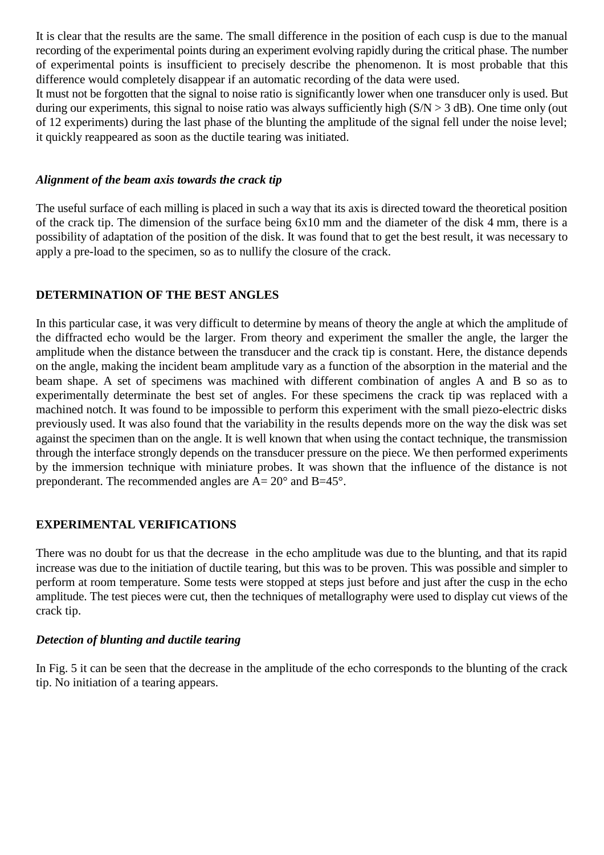It is clear that the results are the same. The small difference in the position of each cusp is due to the manual recording of the experimental points during an experiment evolving rapidly during the critical phase. The number of experimental points is insufficient to precisely describe the phenomenon. It is most probable that this difference would completely disappear if an automatic recording of the data were used.

It must not be forgotten that the signal to noise ratio is significantly lower when one transducer only is used. But during our experiments, this signal to noise ratio was always sufficiently high  $(S/N > 3 dB)$ . One time only (out of 12 experiments) during the last phase of the blunting the amplitude of the signal fell under the noise level; it quickly reappeared as soon as the ductile tearing was initiated.

#### *Alignment of the beam axis towards the crack tip*

The useful surface of each milling is placed in such a way that its axis is directed toward the theoretical position of the crack tip. The dimension of the surface being 6x10 mm and the diameter of the disk 4 mm, there is a possibility of adaptation of the position of the disk. It was found that to get the best result, it was necessary to apply a pre-load to the specimen, so as to nullify the closure of the crack.

## **DETERMINATION OF THE BEST ANGLES**

In this particular case, it was very difficult to determine by means of theory the angle at which the amplitude of the diffracted echo would be the larger. From theory and experiment the smaller the angle, the larger the amplitude when the distance between the transducer and the crack tip is constant. Here, the distance depends on the angle, making the incident beam amplitude vary as a function of the absorption in the material and the beam shape. A set of specimens was machined with different combination of angles A and B so as to experimentally determinate the best set of angles. For these specimens the crack tip was replaced with a machined notch. It was found to be impossible to perform this experiment with the small piezo-electric disks previously used. It was also found that the variability in the results depends more on the way the disk was set against the specimen than on the angle. It is well known that when using the contact technique, the transmission through the interface strongly depends on the transducer pressure on the piece. We then performed experiments by the immersion technique with miniature probes. It was shown that the influence of the distance is not preponderant. The recommended angles are A= 20° and B=45°.

## **EXPERIMENTAL VERIFICATIONS**

There was no doubt for us that the decrease in the echo amplitude was due to the blunting, and that its rapid increase was due to the initiation of ductile tearing, but this was to be proven. This was possible and simpler to perform at room temperature. Some tests were stopped at steps just before and just after the cusp in the echo amplitude. The test pieces were cut, then the techniques of metallography were used to display cut views of the crack tip.

#### *Detection of blunting and ductile tearing*

In Fig. 5 it can be seen that the decrease in the amplitude of the echo corresponds to the blunting of the crack tip. No initiation of a tearing appears.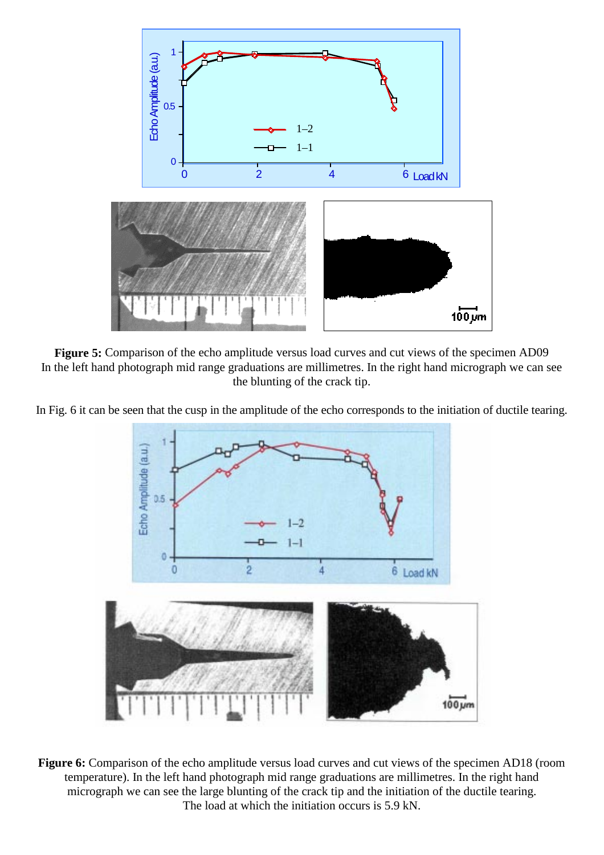

**Figure 5:** Comparison of the echo amplitude versus load curves and cut views of the specimen AD09 In the left hand photograph mid range graduations are millimetres. In the right hand micrograph we can see the blunting of the crack tip.

In Fig. 6 it can be seen that the cusp in the amplitude of the echo corresponds to the initiation of ductile tearing.



**Figure 6:** Comparison of the echo amplitude versus load curves and cut views of the specimen AD18 (room temperature). In the left hand photograph mid range graduations are millimetres. In the right hand micrograph we can see the large blunting of the crack tip and the initiation of the ductile tearing. The load at which the initiation occurs is 5.9 kN.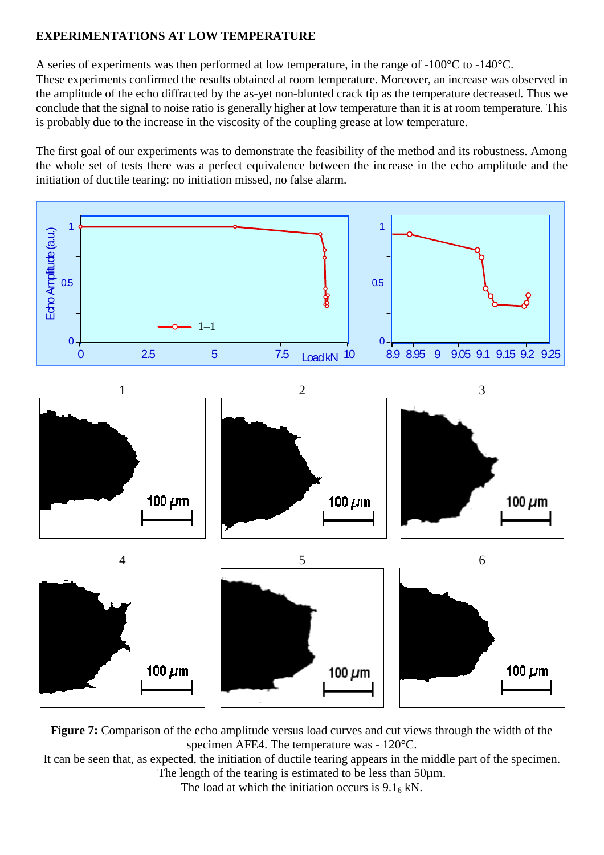## **EXPERIMENTATIONS AT LOW TEMPERATURE**

A series of experiments was then performed at low temperature, in the range of -100°C to -140°C.

These experiments confirmed the results obtained at room temperature. Moreover, an increase was observed in the amplitude of the echo diffracted by the as-yet non-blunted crack tip as the temperature decreased. Thus we conclude that the signal to noise ratio is generally higher at low temperature than it is at room temperature. This is probably due to the increase in the viscosity of the coupling grease at low temperature.

The first goal of our experiments was to demonstrate the feasibility of the method and its robustness. Among the whole set of tests there was a perfect equivalence between the increase in the echo amplitude and the initiation of ductile tearing: no initiation missed, no false alarm.



**Figure 7:** Comparison of the echo amplitude versus load curves and cut views through the width of the specimen AFE4. The temperature was - 120°C.

It can be seen that, as expected, the initiation of ductile tearing appears in the middle part of the specimen. The length of the tearing is estimated to be less than 50µm.

The load at which the initiation occurs is  $9.1<sub>6</sub>$  kN.